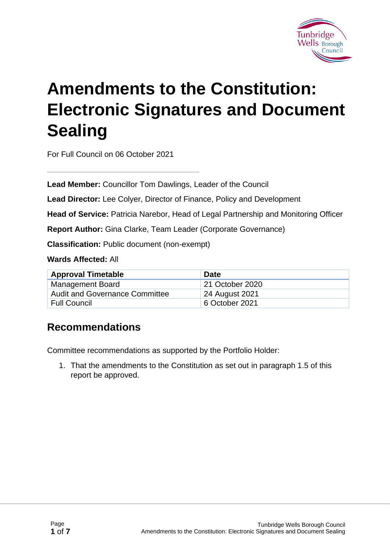

# **Amendments to the Constitution: Electronic Signatures and Document Sealing**

For Full Council on 06 October 2021

**Lead Member:** Councillor Tom Dawlings, Leader of the Council

**Lead Director:** Lee Colyer, Director of Finance, Policy and Development

**Head of Service:** Patricia Narebor, Head of Legal Partnership and Monitoring Officer

**Report Author:** Gina Clarke, Team Leader (Corporate Governance)

**Classification:** Public document (non-exempt)

**Wards Affected:** All

| <b>Approval Timetable</b>             | <b>Date</b>     |
|---------------------------------------|-----------------|
| <b>Management Board</b>               | 21 October 2020 |
| <b>Audit and Governance Committee</b> | 24 August 2021  |
| <b>Full Council</b>                   | 6 October 2021  |

#### **Recommendations**

Committee recommendations as supported by the Portfolio Holder:

1. That the amendments to the Constitution as set out in paragraph 1.5 of this report be approved.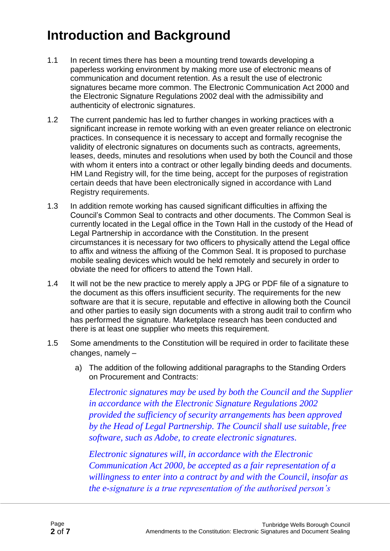### **Introduction and Background**

- 1.1 In recent times there has been a mounting trend towards developing a paperless working environment by making more use of electronic means of communication and document retention. As a result the use of electronic signatures became more common. The Electronic Communication Act 2000 and the Electronic Signature Regulations 2002 deal with the admissibility and authenticity of electronic signatures.
- 1.2 The current pandemic has led to further changes in working practices with a significant increase in remote working with an even greater reliance on electronic practices. In consequence it is necessary to accept and formally recognise the validity of electronic signatures on documents such as contracts, agreements, leases, deeds, minutes and resolutions when used by both the Council and those with whom it enters into a contract or other legally binding deeds and documents. HM Land Registry will, for the time being, accept for the purposes of registration certain deeds that have been electronically signed in accordance with Land Registry requirements.
- 1.3 In addition remote working has caused significant difficulties in affixing the Council's Common Seal to contracts and other documents. The Common Seal is currently located in the Legal office in the Town Hall in the custody of the Head of Legal Partnership in accordance with the Constitution. In the present circumstances it is necessary for two officers to physically attend the Legal office to affix and witness the affixing of the Common Seal. It is proposed to purchase mobile sealing devices which would be held remotely and securely in order to obviate the need for officers to attend the Town Hall.
- 1.4 It will not be the new practice to merely apply a JPG or PDF file of a signature to the document as this offers insufficient security. The requirements for the new software are that it is secure, reputable and effective in allowing both the Council and other parties to easily sign documents with a strong audit trail to confirm who has performed the signature. Marketplace research has been conducted and there is at least one supplier who meets this requirement.
- 1.5 Some amendments to the Constitution will be required in order to facilitate these changes, namely –
	- a) The addition of the following additional paragraphs to the Standing Orders on Procurement and Contracts:

*Electronic signatures may be used by both the Council and the Supplier in accordance with the Electronic Signature Regulations 2002 provided the sufficiency of security arrangements has been approved by the Head of Legal Partnership. The Council shall use suitable, free software, such as Adobe, to create electronic signatures.*

*Electronic signatures will, in accordance with the Electronic Communication Act 2000, be accepted as a fair representation of a willingness to enter into a contract by and with the Council, insofar as the e-signature is a true representation of the authorised person's*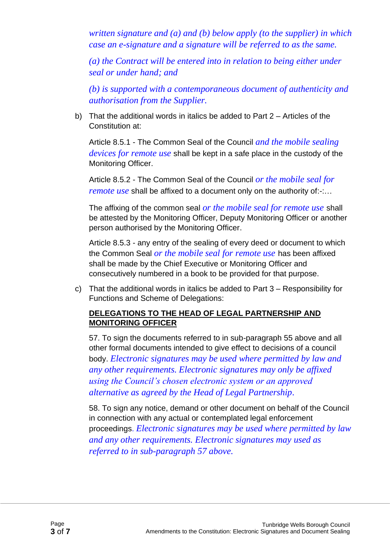*written signature and (a) and (b) below apply (to the supplier) in which case an e-signature and a signature will be referred to as the same.*

*(a) the Contract will be entered into in relation to being either under seal or under hand; and*

*(b) is supported with a contemporaneous document of authenticity and authorisation from the Supplier.*

b) That the additional words in italics be added to Part 2 – Articles of the Constitution at:

Article 8.5.1 - The Common Seal of the Council *and the mobile sealing devices for remote use* shall be kept in a safe place in the custody of the Monitoring Officer.

Article 8.5.2 - The Common Seal of the Council *or the mobile seal for remote use* shall be affixed to a document only on the authority of:-:...

The affixing of the common seal *or the mobile seal for remote use* shall be attested by the Monitoring Officer, Deputy Monitoring Officer or another person authorised by the Monitoring Officer.

Article 8.5.3 - any entry of the sealing of every deed or document to which the Common Seal *or the mobile seal for remote use* has been affixed shall be made by the Chief Executive or Monitoring Officer and consecutively numbered in a book to be provided for that purpose.

c) That the additional words in italics be added to Part 3 – Responsibility for Functions and Scheme of Delegations:

#### **DELEGATIONS TO THE HEAD OF LEGAL PARTNERSHIP AND MONITORING OFFICER**

57. To sign the documents referred to in sub-paragraph 55 above and all other formal documents intended to give effect to decisions of a council body. *Electronic signatures may be used where permitted by law and any other requirements. Electronic signatures may only be affixed using the Council's chosen electronic system or an approved alternative as agreed by the Head of Legal Partnership.*

58. To sign any notice, demand or other document on behalf of the Council in connection with any actual or contemplated legal enforcement proceedings. *Electronic signatures may be used where permitted by law and any other requirements. Electronic signatures may used as referred to in sub-paragraph 57 above.*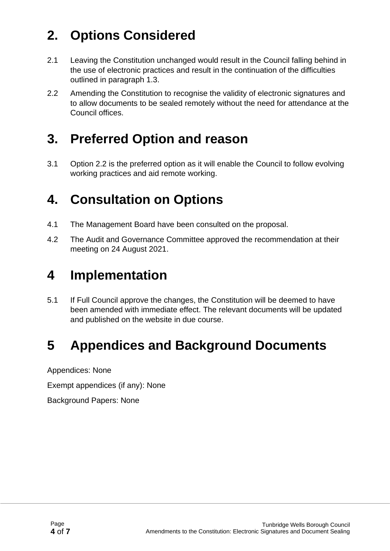## **2. Options Considered**

- 2.1 Leaving the Constitution unchanged would result in the Council falling behind in the use of electronic practices and result in the continuation of the difficulties outlined in paragraph 1.3.
- 2.2 Amending the Constitution to recognise the validity of electronic signatures and to allow documents to be sealed remotely without the need for attendance at the Council offices.

### **3. Preferred Option and reason**

3.1 Option 2.2 is the preferred option as it will enable the Council to follow evolving working practices and aid remote working.

### **4. Consultation on Options**

- 4.1 The Management Board have been consulted on the proposal.
- 4.2 The Audit and Governance Committee approved the recommendation at their meeting on 24 August 2021.

### **4 Implementation**

5.1 If Full Council approve the changes, the Constitution will be deemed to have been amended with immediate effect. The relevant documents will be updated and published on the website in due course.

### **5 Appendices and Background Documents**

Appendices: None

Exempt appendices (if any): None

Background Papers: None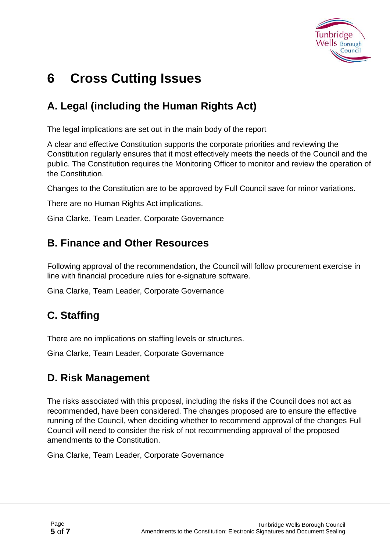

### **6 Cross Cutting Issues**

#### **A. Legal (including the Human Rights Act)**

The legal implications are set out in the main body of the report

A clear and effective Constitution supports the corporate priorities and reviewing the Constitution regularly ensures that it most effectively meets the needs of the Council and the public. The Constitution requires the Monitoring Officer to monitor and review the operation of the Constitution.

Changes to the Constitution are to be approved by Full Council save for minor variations.

There are no Human Rights Act implications.

Gina Clarke, Team Leader, Corporate Governance

#### **B. Finance and Other Resources**

Following approval of the recommendation, the Council will follow procurement exercise in line with financial procedure rules for e-signature software.

Gina Clarke, Team Leader, Corporate Governance

#### **C. Staffing**

There are no implications on staffing levels or structures.

Gina Clarke, Team Leader, Corporate Governance

#### **D. Risk Management**

The risks associated with this proposal, including the risks if the Council does not act as recommended, have been considered. The changes proposed are to ensure the effective running of the Council, when deciding whether to recommend approval of the changes Full Council will need to consider the risk of not recommending approval of the proposed amendments to the Constitution.

Gina Clarke, Team Leader, Corporate Governance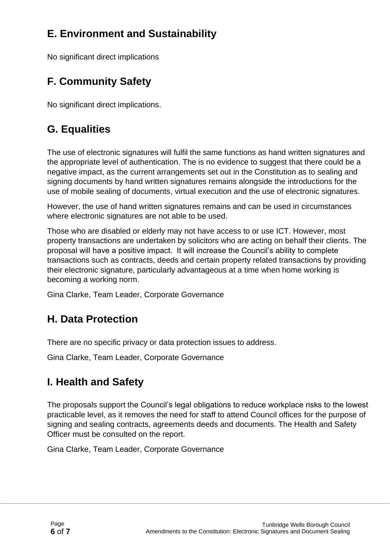#### **E. Environment and Sustainability**

No significant direct implications

### **F. Community Safety**

No significant direct implications.

#### **G. Equalities**

The use of electronic signatures will fulfil the same functions as hand written signatures and the appropriate level of authentication. The is no evidence to suggest that there could be a negative impact, as the current arrangements set out in the Constitution as to sealing and signing documents by hand written signatures remains alongside the introductions for the use of mobile sealing of documents, virtual execution and the use of electronic signatures.

However, the use of hand written signatures remains and can be used in circumstances where electronic signatures are not able to be used.

Those who are disabled or elderly may not have access to or use ICT. However, most property transactions are undertaken by solicitors who are acting on behalf their clients. The proposal will have a positive impact. It will increase the Council's ability to complete transactions such as contracts, deeds and certain property related transactions by providing their electronic signature, particularly advantageous at a time when home working is becoming a working norm.

Gina Clarke, Team Leader, Corporate Governance

#### **H. Data Protection**

There are no specific privacy or data protection issues to address.

Gina Clarke, Team Leader, Corporate Governance

#### **I. Health and Safety**

The proposals support the Council's legal obligations to reduce workplace risks to the lowest practicable level, as it removes the need for staff to attend Council offices for the purpose of signing and sealing contracts, agreements deeds and documents. The Health and Safety Officer must be consulted on the report.

Gina Clarke, Team Leader, Corporate Governance